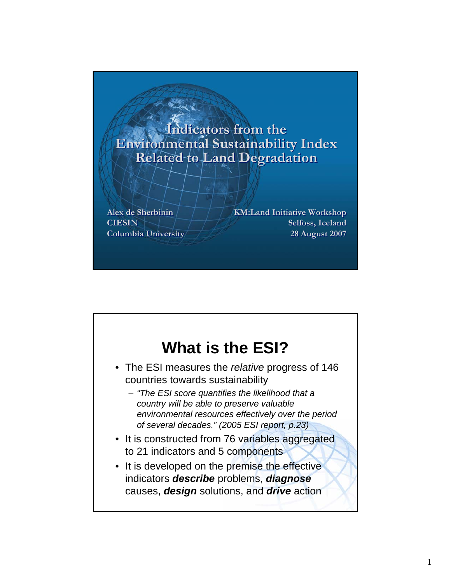#### **Indicators from the Indicators from the Environmental Sustainability Index Environmental Sustainability Index Related to Land Degradation Related to Land Degradation**

**Alex de Sherbinin Alex de Sherbinin CIESIN CIESIN Columbia University Columbia University** **KM:Land Initiative Workshop KM:Land Initiative Workshop Selfoss, Iceland Selfoss, Iceland 28 August 2007 28 August 2007**

### **What is the ESI?**

- The ESI measures the *relative* progress of 146 countries towards sustainability
	- *"The ESI score quantifies the likelihood that a country will be able to preserve valuable environmental resources effectively over the period of several decades." (2005 ESI report, p.23)*
- It is constructed from 76 variables aggregated to 21 indicators and 5 components
- It is developed on the premise the effective indicators *describe* problems, *diagnose* causes, *design* solutions, and *drive* action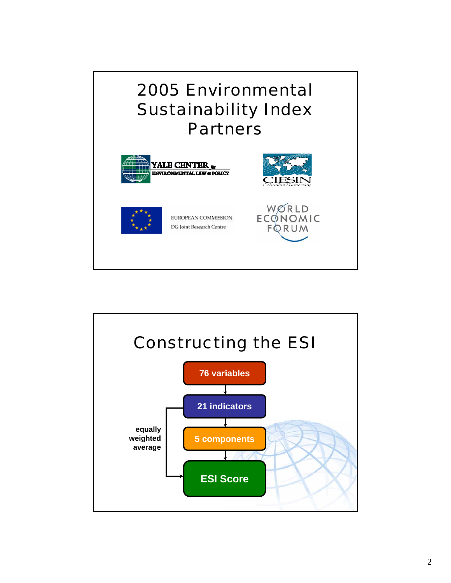## 2005 Environmental Sustainability Index Partners



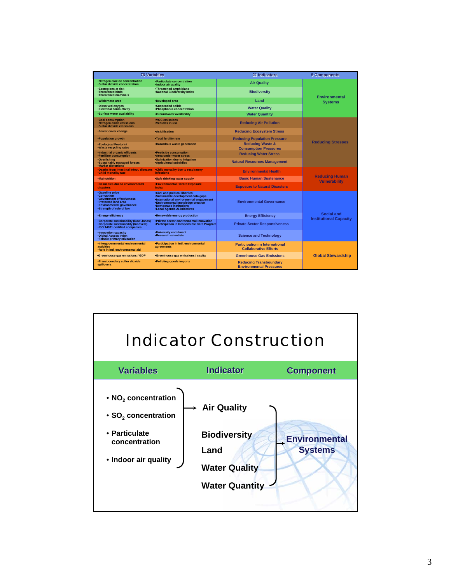|                                                                                                                                                            | <b>76 Variables</b>                                                                                                                                                                                                            | 21 Indicators                                                         | <b>5 Components</b>                           |
|------------------------------------------------------------------------------------------------------------------------------------------------------------|--------------------------------------------------------------------------------------------------------------------------------------------------------------------------------------------------------------------------------|-----------------------------------------------------------------------|-----------------------------------------------|
| *Nitrogen dioxide concentration<br>*Sulfur dioxide concentration                                                                                           | *Particulate concentration<br>·Indoor air quality                                                                                                                                                                              | <b>Air Quality</b>                                                    |                                               |
| *Ecoregions at risk<br><b>*Threatened birds</b><br>•Threatened mammals                                                                                     | •Threatened amphibians<br>.National Biodiversity Index                                                                                                                                                                         | <b>Biodiversity</b>                                                   | <b>Environmental</b>                          |
| ·Wilderness area                                                                                                                                           | •Developed area                                                                                                                                                                                                                | Land                                                                  | <b>Systems</b>                                |
| ·Dissolved oxvaen<br><b>*Electrical conductivity</b>                                                                                                       | <b>Suspended solids</b><br>•Phosphorus concentration                                                                                                                                                                           | <b>Water Quality</b>                                                  |                                               |
| ·Surface water availability                                                                                                                                | <b>Groundwater availability</b>                                                                                                                                                                                                | <b>Water Quantity</b>                                                 |                                               |
| <b>Coal consumption</b><br>•Nitrogen oxide emissions<br>*Sulfur dioxide emissions                                                                          | •VOC emissions<br>•Vehicles in use                                                                                                                                                                                             | <b>Reducing Air Pollution</b>                                         |                                               |
| *Forest cover change                                                                                                                                       | <b>•Acidification</b>                                                                                                                                                                                                          | <b>Reducing Ecosystem Stress</b>                                      |                                               |
| *Population growth                                                                                                                                         | .Total fertility rate                                                                                                                                                                                                          | <b>Reducing Population Pressure</b>                                   |                                               |
| <b>*Ecological Footprint</b><br>.Waste recycling rates                                                                                                     | •Hazardous waste generation                                                                                                                                                                                                    | <b>Reducing Waste &amp;</b><br><b>Consumption Pressures</b>           | <b>Reducing Stresses</b>                      |
| ·Industrial organic effluents<br>•Fertilizer consumption                                                                                                   | •Pesticide consumption<br>*Area under water stress                                                                                                                                                                             | <b>Reducing Water Stress</b>                                          |                                               |
| ·Overfishing<br><b>*Sustainably managed forests</b><br><b>•Market distortions</b>                                                                          | •Salinization due to irrigation<br><b>Agricultural subsidies</b>                                                                                                                                                               | <b>Natural Resources Management</b>                                   |                                               |
| •Deaths from intestinal infect. diseases •Child mortality due to respiratory<br><b>.Child mortality rate</b>                                               | <b>infections</b>                                                                                                                                                                                                              | <b>Environmental Health</b>                                           |                                               |
| <b>•Malnutrition</b>                                                                                                                                       | <b>Safe drinking water supply</b>                                                                                                                                                                                              | <b>Basic Human Sustenance</b>                                         | <b>Reducing Human</b><br><b>Vulnerability</b> |
| .Casualties due to environmental<br>disasters                                                                                                              | <b>.Environmental Hazard Exposure</b><br>Index                                                                                                                                                                                 | <b>Exposure to Natural Disasters</b>                                  |                                               |
| <b>*Gasoline price</b><br>•Corruption<br><b>*Government effectiveness</b><br>•Protected land area<br>*Environmental governance<br>*Strength of rule of law | .Civil and political liberties<br>*Sustainable development data gaps<br>·International environmental engagement<br><b>*Environmental knowledge creation</b><br><b>•Democratic institutions</b><br>•Local Agenda 21 initiatives | <b>Environmental Governance</b>                                       |                                               |
| •Energy efficiency                                                                                                                                         | *Renewable energy production                                                                                                                                                                                                   | <b>Energy Efficiency</b>                                              | Social and<br><b>Institutional Capacity</b>   |
| *Corporate sustainability (Dow Jones)<br>*Corporate sustainability (Innovest)<br>•ISO 14001 certified companies                                            | *Private sector environmental innovation<br>*Participation in Responsible Care Program                                                                                                                                         | <b>Private Sector Responsiveness</b>                                  |                                               |
| ·Innovation capacity<br><b>.Digital Access Index</b><br>•Female primary education                                                                          | .University enrollment<br><b>Research scientists</b>                                                                                                                                                                           | <b>Science and Technology</b>                                         |                                               |
| •Intergovernmental environmental<br><b>activities</b><br>.Role in intl. environmental aid                                                                  | *Participation in intl. environmental<br>agreements                                                                                                                                                                            | <b>Participation in International</b><br><b>Collaborative Efforts</b> |                                               |
| <b>*Greenhouse gas emissions / GDP</b>                                                                                                                     | *Greenhouse gas emissions / capita                                                                                                                                                                                             | <b>Greenhouse Gas Emissions</b>                                       | <b>Global Stewardship</b>                     |
| <b>*Transboundary sulfur dioxide</b><br>spillovers                                                                                                         | •Polluting-goods imports                                                                                                                                                                                                       | <b>Reducing Transboundary</b><br><b>Environmental Pressures</b>       |                                               |

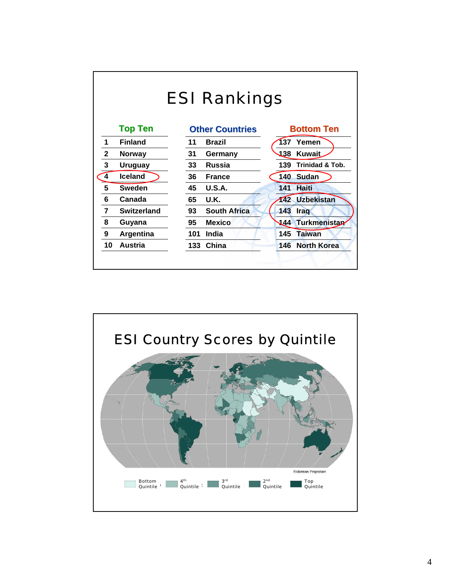| <b>ESI Rankings</b> |                    |                           |                                   |  |  |  |  |  |
|---------------------|--------------------|---------------------------|-----------------------------------|--|--|--|--|--|
|                     | <b>Top Ten</b>     | <b>Other Countries</b>    | <b>Bottom Ten</b>                 |  |  |  |  |  |
| 1                   | <b>Finland</b>     | 11<br><b>Brazil</b>       | 137<br>Yemen                      |  |  |  |  |  |
| $\mathbf{2}$        | <b>Norway</b>      | 31<br>Germany             | 138<br><b>Kuwait</b>              |  |  |  |  |  |
| 3                   | <b>Uruguay</b>     | <b>Russia</b><br>33       | <b>Trinidad &amp; Tob.</b><br>139 |  |  |  |  |  |
| 4                   | <b>Iceland</b>     | 36<br><b>France</b>       | 140 Sudan                         |  |  |  |  |  |
| 5                   | <b>Sweden</b>      | 45<br><b>U.S.A.</b>       | Haiti<br>141                      |  |  |  |  |  |
| 6                   | Canada             | 65<br>U.K.                | <b>Uzbekistan</b><br>142          |  |  |  |  |  |
| $\overline{7}$      | <b>Switzerland</b> | <b>South Africa</b><br>93 | 143<br><b>Iraq</b>                |  |  |  |  |  |
| 8                   | Guyana             | 95<br><b>Mexico</b>       | <b>Turkmenistan</b><br>444        |  |  |  |  |  |
| 9                   | Argentina          | 101<br>India              | <b>Taiwan</b><br>145              |  |  |  |  |  |
| 10                  | <b>Austria</b>     | China<br>133              | <b>North Korea</b><br>146         |  |  |  |  |  |

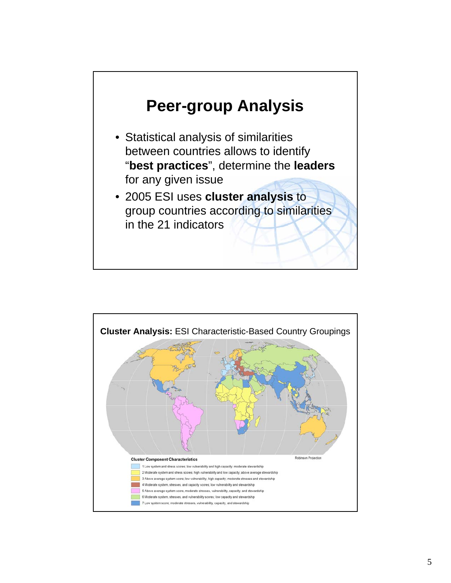

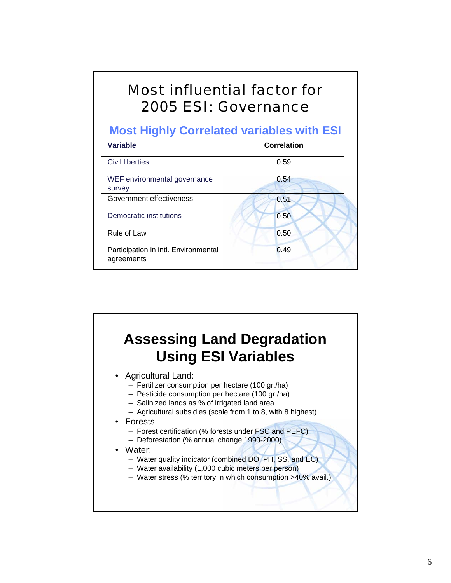### Most influential factor for 2005 ESI: Governance

#### **Most Highly Correlated variables with ESI**

| <b>Variable</b>                                    | Correlation |
|----------------------------------------------------|-------------|
| <b>Civil liberties</b>                             | 0.59        |
| WEF environmental governance<br>survey             | 0.54        |
| Government effectiveness                           | 0.51        |
| Democratic institutions                            | 0.50        |
| <b>Rule of Law</b>                                 | 0.50        |
| Participation in intl. Environmental<br>agreements | 0.49        |

## **Assessing Land Degradation Using ESI Variables**

- Agricultural Land:
	- Fertilizer consumption per hectare (100 gr./ha)
	- Pesticide consumption per hectare (100 gr./ha)
	- Salinized lands as % of irrigated land area
	- Agricultural subsidies (scale from 1 to 8, with 8 highest)
- Forests
	- Forest certification (% forests under FSC and PEFC)
	- Deforestation (% annual change 1990-2000)
- Water:
	- Water quality indicator (combined DO, PH, SS, and EC)
	- Water availability (1,000 cubic meters per person)
	- Water stress (% territory in which consumption >40% avail.)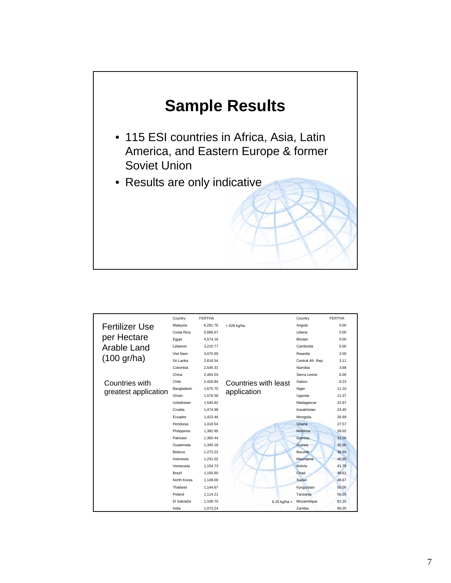

|                       | Country            | <b>FERTHA</b> |                      | Country           | <b>FERTHA</b> |
|-----------------------|--------------------|---------------|----------------------|-------------------|---------------|
| <b>Fertilizer Use</b> | Malaysia           | 6.281.76      | $= 628$ kg/ha        | Angola            | 0.00          |
|                       | Costa Rica         | 5,686.67      |                      | Liberia           | 0.00          |
| per Hectare           | Egypt              | 4,574.16      |                      | Bhutan            | 0.00          |
| Arable Land           | Lebanon            | 3,210.77      |                      | Cambodia          | 0.00          |
|                       | Viet Nam           | 3,075.69      |                      | Rwanda            | 3.00          |
| $(100 \text{ gr/ha})$ | Sri Lanka          | 2.616.54      |                      | Central Afr. Rep. | 3.11          |
|                       | Colombia           | 2.545.31      |                      | Namibia           | 3.68          |
|                       | China              | 2.463.03      |                      | Sierra Leone      | 6.00          |
| Countries with        | Chile              | 2,426.84      | Countries with least | Gabon             | 9.23          |
| greatest application  | Bangladesh         | 1.675.70      | application          | Niger             | 11.10         |
|                       | Oman               | 1.576.58      |                      | Uganda            | 11.37         |
|                       | Uzbekistan         | 1.545.82      |                      | Madagascar        | 22.97         |
|                       | Croatia            | 1.474.98      |                      | Kazakhstan        | 23.40         |
|                       | Ecuador            | 1.423.46      |                      | Mongolia          | 26.69         |
|                       | Honduras           | 1,418.54      |                      | Ghana             | 27.57         |
|                       | Philippines        | 1.382.95      |                      | Moldova           | 28.02         |
|                       | Pakistan           | 1.360.44      |                      | <b>Gambia</b>     | 32.00         |
|                       | Guatemala          | 1,345.18      |                      | Guinea            | 35.96         |
|                       | <b>Belarus</b>     | 1.272.22      |                      | <b>Burundi</b>    | 38.89         |
|                       | Indonesia          | 1.231.02      |                      | Mauritania        | 40.98         |
|                       | Venezuela          | 1.154.73      |                      | Bolivia           | 41.79         |
|                       | Brazil             | 1.150.60      |                      | Chad              | 48.61         |
|                       | North Korea        | 1,148.00      |                      | Sudan             | 48.67         |
|                       | Thailand           | 1,144.67      |                      | Kyrgyzstan        | 50,00         |
|                       | Poland             | 1.114.21      |                      | Tanzania          | 56.25         |
|                       | <b>El Salvador</b> | 1,108.70      | $6.25$ kg/ha =       | Mozambique        | 62.25         |
|                       | India              | 1,073.24      |                      | Zambia            | 69.20         |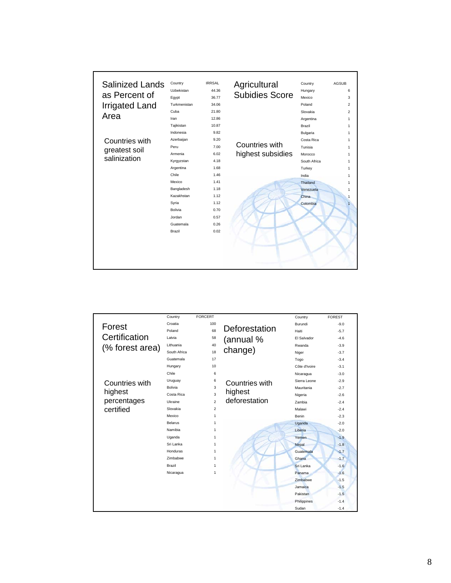| <b>Salinized Lands</b> | Country      | <b>IRRSAL</b> | Agricultural          | Country      | <b>AGSUB</b>   |
|------------------------|--------------|---------------|-----------------------|--------------|----------------|
|                        | Uzbekistan   | 44.36         |                       | Hungary      | 6              |
| as Percent of          | Eqypt        | 36.77         | <b>Subidies Score</b> | Mexico       | 3              |
| <b>Irrigated Land</b>  | Turkmenistan | 34.06         |                       | Poland       | $\overline{2}$ |
|                        | Cuba         | 21.80         |                       | Slovakia     | $\overline{2}$ |
| Area                   | Iran         | 12.86         |                       | Argentina    | 1              |
|                        | Tajikistan   | 10.87         |                       | Brazil       | 1              |
|                        | Indonesia    | 9.82          |                       | Bulgaria     | 1              |
| Countries with         | Azerbaijan   | 9.20          |                       | Costa Rica   | 1              |
| greatest soil          | Peru         | 7.00          | Countries with        | Tunisia      | 1              |
|                        | Armenia      | 6.02          | highest subsidies     | Morocco      | 1              |
| salinization           | Kyrgyzstan   | 4.18          |                       | South Africa | 1              |
|                        | Argentina    | 1.68          |                       | Turkey       | 1              |
|                        | Chile        | 1.46          |                       | India        | 1              |
|                        | Mexico       | 1.41          |                       | Thailand     | 1              |
|                        | Bangladesh   | 1.18          |                       | Venezuela    | 1              |
|                        | Kazakhstan   | 1.12          |                       | China        |                |
|                        | Syria        | 1.12          |                       | Colombia     |                |
|                        | Bolivia      | 0.70          |                       |              |                |
|                        | Jordan       | 0.57          |                       |              |                |
|                        | Guatemala    | 0.26          |                       |              |                |
|                        | Brazil       | 0.02          |                       |              |                |
|                        |              |               |                       |              |                |
|                        |              |               |                       |              |                |
|                        |              |               |                       |              |                |
|                        |              |               |                       |              |                |
|                        |              |               |                       |              |                |

|                 | Country        | <b>FORCERT</b> |                | Country        | <b>FOREST</b> |
|-----------------|----------------|----------------|----------------|----------------|---------------|
| Forest          | Croatia        | 100            |                | Burundi        | $-9.0$        |
|                 | Poland         | 68             | Deforestation  | Haiti          | $-5.7$        |
| Certification   | Latvia         | 58             | (annual %      | El Salvador    | $-4.6$        |
| (% forest area) | Lithuania      | 40             |                | Rwanda         | $-3.9$        |
|                 | South Africa   | 18             | change)        | Niger          | $-3.7$        |
|                 | Guatemala      | 17             |                | Togo           | $-3.4$        |
|                 | Hungary        | 10             |                | Côte d'Ivoire  | $-3.1$        |
|                 | Chile          | 6              |                | Nicaragua      | $-3.0$        |
| Countries with  | Uruguay        | 6              | Countries with | Sierra Leone   | $-2.9$        |
|                 | <b>Bolivia</b> | 3              |                | Mauritania     | $-2.7$        |
| highest         | Costa Rica     | 3              | highest        | Nigeria        | $-2.6$        |
| percentages     | Ukraine        | $\overline{a}$ | deforestation  | Zambia         | $-2.4$        |
| certified       | Slovakia       | $\overline{2}$ |                | Malawi         | $-2.4$        |
|                 | Mexico         | 1              |                | Benin          | $-2.3$        |
|                 | Belarus        | 1              |                | Uganda         | $-2.0$        |
|                 | Namibia        | 1              |                | <b>Liberia</b> | $-2.0$        |
|                 | Uganda         | 1              |                | Yemen          | $-1.9$        |
|                 | Sri Lanka      | 1              |                | Nepal          | $-1.8$        |
|                 | Honduras       | $\mathbf{1}$   |                | Guatemala      | $-1.7$        |
|                 | Zimbabwe       | 1              |                | Ghana          | $-1.7$        |
|                 | Brazil         | 1              |                | Sri Lanka      | $-1.6$        |
|                 | Nicaragua      | 1              |                | Panama         | $-1.6$        |
|                 |                |                |                | Zimbabwe       | $-1.5$        |
|                 |                |                |                | Jamaica        | $-1.5$        |
|                 |                |                |                | Pakistan       | $-1.5$        |
|                 |                |                |                | Philippines    | $-1.4$        |
|                 |                |                |                | Sudan          | $-1.4$        |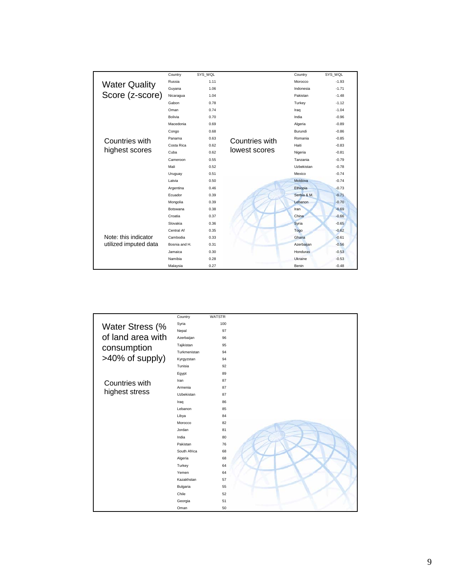|                       | Country         | SYS WQL |                | Country     | SYS WQL |
|-----------------------|-----------------|---------|----------------|-------------|---------|
| <b>Water Quality</b>  | Russia          | 1.11    |                | Morocco     | $-1.93$ |
|                       | Guyana          | 1.06    |                | Indonesia   | $-1.71$ |
| Score (z-score)       | Nicaragua       | 1.04    |                | Pakistan    | $-1.48$ |
|                       | Gabon           | 0.78    |                | Turkey      | $-1.12$ |
|                       | Oman            | 0.74    |                | Iraq        | $-1.04$ |
|                       | <b>Bolivia</b>  | 0.70    |                | India       | $-0.96$ |
|                       | Macedonia       | 0.69    |                | Algeria     | $-0.89$ |
|                       | 0.68<br>Congo   |         | Burundi        | $-0.86$     |         |
| Countries with        | Panama          | 0.63    | Countries with | Romania     | $-0.85$ |
|                       | Costa Rica      | 0.62    |                | Haiti       | $-0.83$ |
| highest scores        | Cuba            | 0.62    | lowest scores  | Nigeria     | $-0.81$ |
|                       | Cameroon        | 0.55    |                | Tanzania    | $-0.79$ |
|                       | Mali            | 0.52    |                | Uzbekistan  | $-0.78$ |
|                       | Uruguay         | 0.51    |                | Mexico      | $-0.74$ |
|                       | Latvia          | 0.50    |                | Moldova     | $-0.74$ |
|                       | Argentina       | 0.46    |                | Ethiopia    | $-0.73$ |
|                       | Ecuador         | 0.39    |                | Serbia & M. | $-0.71$ |
|                       | Mongolia        | 0.39    |                | Lebanon     | $-0.70$ |
|                       | <b>Botswana</b> | 0.38    |                | Iran        | $-0.69$ |
|                       | Croatia         | 0.37    |                | China       | $-0.66$ |
|                       | Slovakia        | 0.36    |                | Syria       | $-0.65$ |
|                       | Central Af      | 0.35    |                | Togo        | $-0.62$ |
| Note: this indicator  | Cambodia        | 0.33    |                | Ghana       | $-0.61$ |
| utilized imputed data | Bosnia and H.   | 0.31    |                | Azerbaijan  | $-0.56$ |
|                       | Jamaica         | 0.30    |                | Honduras    | $-0.53$ |
|                       | Namibia         | 0.28    |                | Ukraine     | $-0.53$ |
|                       | Malaysia        | 0.27    |                | Benin       | $-0.48$ |

|                   | Country      | <b>WATSTR</b> |  |
|-------------------|--------------|---------------|--|
| Water Stress (%   | Syria        | 100           |  |
|                   | Nepal        | 97            |  |
| of land area with | Azerbaijan   | 96            |  |
| consumption       | Tajikistan   | 95            |  |
|                   | Turkmenistan | 94            |  |
| >40% of supply)   | Kyrgyzstan   | 94            |  |
|                   | Tunisia      | 92            |  |
|                   | Egypt        | 89            |  |
| Countries with    | Iran         | 87            |  |
|                   | Armenia      | 87            |  |
| highest stress    | Uzbekistan   | 87            |  |
|                   | Iraq         | 86            |  |
|                   | Lebanon      | 85            |  |
|                   | Libya        | 84            |  |
|                   | Morocco      | 82            |  |
|                   | Jordan       | 81            |  |
|                   | India        | 80            |  |
|                   | Pakistan     | 76            |  |
|                   | South Africa | 68            |  |
|                   | Algeria      | 68            |  |
|                   | Turkey       | 64            |  |
|                   | Yemen        | 64            |  |
|                   | Kazakhstan   | 57            |  |
|                   | Bulgaria     | 55            |  |
|                   | Chile        | 52            |  |
|                   | Georgia      | 51            |  |
|                   | Oman         | 50            |  |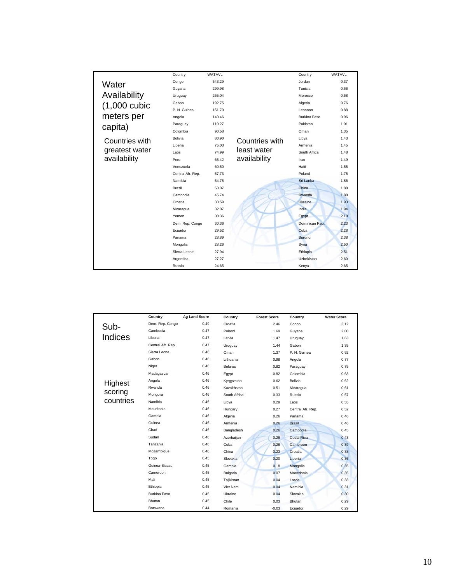|                | Country           | <b>WATAVL</b> |                | Country        | WATAVL |
|----------------|-------------------|---------------|----------------|----------------|--------|
| Water          | Congo             | 543.29        |                | Jordan         | 0.37   |
|                | Guyana            | 299.98        |                | Tunisia        | 0.66   |
| Availability   | Uruguay           | 265.04        |                | Morocco        | 0.68   |
| $(1,000$ cubic | Gabon             | 192.75        |                | Algeria        | 0.76   |
|                | P. N. Guinea      | 151.70        |                | Lebanon        | 0.88   |
| meters per     | Angola            | 140.46        |                | Burkina Faso   | 0.96   |
| capita)        | Paraguay          | 110.27        |                | Pakistan       | 1.01   |
|                | Colombia          | 90.58         |                | Oman           | 1.35   |
| Countries with | <b>Bolivia</b>    | 80.90         | Countries with | Libya          | 1.43   |
|                | Liberia           | 75.03         | least water    | Armenia        | 1.45   |
| greatest water | Laos              | 74.99         |                | South Africa   | 1.48   |
| availability   | Peru              | 65.42         | availability   | Iran           | 1.49   |
|                | Venezuela         | 60.50         |                | Haiti          | 1.55   |
|                | Central Afr. Rep. | 57.73         |                | Poland         | 1.75   |
|                | Namibia           | 54.75         |                | Sri Lanka      | 1.86   |
|                | Brazil            | 53.07         |                | China          | 1.88   |
|                | Cambodia          | 45.74         |                | Rwanda         | 1.88   |
|                | Croatia           | 33.59         |                | <b>Ukraine</b> | 1.93   |
|                | Nicaragua         | 32.07         |                | India          | 1.94   |
|                | Yemen             | 30.36         |                | Egypt          | 2.18   |
|                | Dem. Rep. Congo   | 30.36         |                | Dominican Rep. | 2.23   |
|                | Ecuador           | 29.52         |                | Cuba           | 2.28   |
|                | Panama            | 28.89         |                | <b>Burundi</b> | 2.38   |
|                | Mongolia          | 28.26         |                | Syria          | 2.50   |
|                | Sierra Leone      | 27.94         |                | Ethiopia       | 2.51   |
|                | Argentina         | 27.27         |                | Uzbekistan     | 2.60   |
|                | Russia            | 24.65         |                | Kenya          | 2.65   |

|                | Country           | <b>Ag Land Score</b> | Country         | <b>Forest Score</b> | Country           | <b>Water Score</b> |
|----------------|-------------------|----------------------|-----------------|---------------------|-------------------|--------------------|
| Sub-           | Dem. Rep. Congo   | 0.49                 | Croatia         | 2.46                | Congo             | 3.12               |
|                | Cambodia          | 0.47                 | Poland          | 1.69                | Guyana            | 2.00               |
| <b>Indices</b> | Liberia           | 0.47                 | Latvia          | 1.47                | Uruguay           | 1.63               |
|                | Central Afr. Rep. | 0.47                 | Uruguay         | 1.44                | Gabon             | 1.35               |
|                | Sierra Leone      | 0.46                 | Oman            | 1.37                | P. N. Guinea      | 0.92               |
|                | Gabon             | 0.46                 | Lithuania       | 0.98                | Angola            | 0.77               |
|                | Niger             | 0.46                 | <b>Belarus</b>  | 0.82                | Paraguay          | 0.75               |
|                | Madagascar        | 0.46                 | Egypt           | 0.82                | Colombia          | 0.63               |
| Highest        | Angola            | 0.46                 | Kyrgyzstan      | 0.62                | Bolivia           | 0.62               |
|                | Rwanda            | 0.46                 | Kazakhstan      | 0.51                | Nicaragua         | 0.61               |
| scoring        | Mongolia          | 0.46                 | South Africa    | 0.33                | Russia            | 0.57               |
| countries      | Namibia           | 0.46                 | Libya           | 0.29                | Laos              | 0.55               |
|                | Mauritania        | 0.46                 | Hungary         | 0.27                | Central Afr. Rep. | 0.52               |
|                | Gambia            | 0.46                 | Algeria         | 0.26                | Panama            | 0.46               |
|                | Guinea            | 0.46                 | Armenia         | 0.26                | <b>Brazil</b>     | 0.46               |
|                | Chad              | 0.46                 | Bangladesh      | 0.26                | Cambodia          | 0.45               |
|                | Sudan             | 0.46                 | Azerbaijan      | 0.26                | Costa Rica        | 0.43               |
|                | Tanzania          | 0.46                 | Cuba            | 0.26                | Cameroon          | 0.39               |
|                | Mozambique        | 0.46                 | China           | 0.23                | Croatia           | 0.38               |
|                | Togo              | 0.45                 | Slovakia        | 0.20                | Liberia           | 0.36               |
|                | Guinea-Bissau     | 0.45                 | Gambia          | 0.18                | Mongolia          | 0.35               |
|                | Cameroon          | 0.45                 | <b>Bulgaria</b> | 0.07                | Macedonia         | 0.35               |
|                | Mali              | 0.45                 | Tajikistan      | 0.04                | Latvia            | 0.33               |
|                | Ethiopia          | 0.45                 | Viet Nam        | 0.04                | Namibia           | 0.31               |
|                | Burkina Faso      | 0.45                 | Ukraine         | 0.04                | Slovakia          | 0.30               |
|                | <b>Bhutan</b>     | 0.45                 | Chile           | 0.03                | Bhutan            | 0.29               |
|                | <b>Botswana</b>   | 0.44                 | Romania         | $-0.03$             | Ecuador           | 0.29               |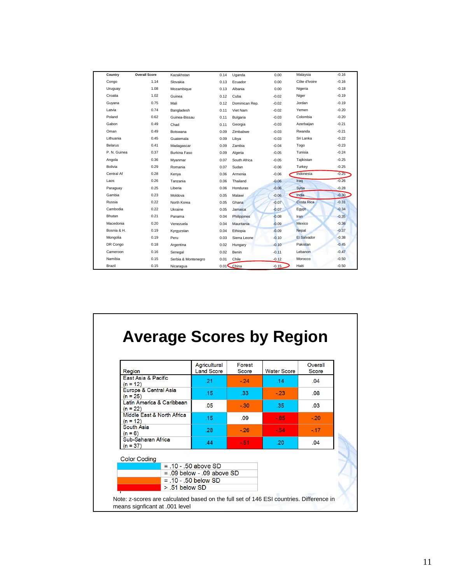| Country        | <b>Overall Score</b> | Kazakhstan          | 0.14 | Uganda            | 0.00    | Malaysia          | $-0.16$ |
|----------------|----------------------|---------------------|------|-------------------|---------|-------------------|---------|
| Congo          | 1.14                 | Slovakia            | 0.13 | Ecuador           | 0.00    | Côte d'Ivoire     | $-0.16$ |
| Uruguay        | 1.08                 | Mozambique          | 0.13 | Albania           | 0.00    | Nigeria           | $-0.18$ |
| Croatia        | 1.02                 | Guinea              | 0.12 | Cuba              | $-0.02$ | Niger             | $-0.19$ |
| Guyana         | 0.75                 | Mali                | 0.12 | Dominican Rep.    | $-0.02$ | Jordan            | $-0.19$ |
| Latvia         | 0.74                 | Bangladesh          | 0.11 | Viet Nam          | $-0.02$ | Yemen             | $-0.20$ |
| Poland         | 0.62                 | Guinea-Bissau       | 0.11 | <b>Bulgaria</b>   | $-0.03$ | Colombia          | $-0.20$ |
| Gabon          | 0.49                 | Chad                | 0.11 | Georgia           | $-0.03$ | Azerbaijan        | $-0.21$ |
| Oman           | 0.49                 | <b>Botswana</b>     | 0.09 | Zimbabwe          | $-0.03$ | Rwanda            | $-0.21$ |
| Lithuania      | 0.45                 | Guatemala           | 0.09 | Libya             | $-0.03$ | Sri Lanka         | $-0.22$ |
| <b>Belarus</b> | 0.41                 | Madagascar          | 0.09 | Zambia            | $-0.04$ | Togo              | $-0.23$ |
| P. N. Guinea   | 0.37                 | Burkina Faso        | 0.09 | Algeria           | $-0.05$ | Tunisia           | $-0.24$ |
| Angola         | 0.36                 | Myanmar             | 0.07 | South Africa      | $-0.05$ | Tajikistan        | $-0.25$ |
| <b>Bolivia</b> | 0.29                 | Romania             | 0.07 | Sudan             | $-0.06$ | Turkey            | $-0.25$ |
| Central Af     | 0.28                 | Kenya               | 0.06 | Armenia           | $-0.06$ | Indonesia         | $-0.25$ |
| Laos           | 0.26                 | Tanzania            | 0.06 | Thailand          | $-0.06$ | Iraq              | $-0.26$ |
| Paraguay       | 0.25                 | Liberia             | 0.06 | Honduras          | $-0.06$ | Syria             | $-0.28$ |
| Gambia         | 0.23                 | Moldova             | 0.05 | Malawi            | $-0.06$ | India             | $-0.30$ |
| Russia         | 0.22                 | North Korea         | 0.05 | Ghana             | $-0.07$ | <b>Costa Rica</b> | $-0.31$ |
| Cambodia       | 0.22                 | Ukraine             | 0.05 | Jamaica           | $-0.07$ | Egypt             | $-0.34$ |
| Bhutan         | 0.21                 | Panama              | 0.04 | Philippines       | $-0.08$ | Iran              | $-0.35$ |
| Macedonia      | 0.20                 | Venezuela           | 0.04 | <b>Mauritania</b> | $-0.09$ | Mexico            | $-0.36$ |
| Bosnia & H.    | 0.19                 | Kyrgyzstan          | 0.04 | Ethiopia          | $-0.09$ | Nepal             | $-0.37$ |
| Mongolia       | 0.19                 | Peru                | 0.03 | Sierra Leone      | $-0.10$ | El Salvador       | $-0.38$ |
| DR Congo       | 0.18                 | Argentina           | 0.02 | Hungary           | $-0.10$ | Pakistan          | $-0.45$ |
| Cameroon       | 0.16                 | Senegal             | 0.02 | Benin             | $-0.11$ | Lebanon           | $-0.47$ |
| Namibia        | 0.15                 | Serbia & Montenegro | 0.01 | Chile             | $-0.12$ | Morocco           | $-0.50$ |
| Brazil         | 0.15                 | Nicaragua           |      | $0.01$ China      | $-0.15$ | Haiti             | $-0.50$ |

# **Average Scores by Region**

| Region                                                                                                                    | Agricultural<br><b>Land Score</b> | Forest<br>Score | <b>Water Score</b> | Overall<br>Score |  |  |
|---------------------------------------------------------------------------------------------------------------------------|-----------------------------------|-----------------|--------------------|------------------|--|--|
| East Asia & Pacific<br>$(n = 12)$                                                                                         | .21                               | $-24$           | .14                | .04              |  |  |
| Europe & Central Asia<br>$(n = 25)$                                                                                       | .15                               | .33             | $-23$              | .08 <sub>0</sub> |  |  |
| Latin America & Caribbean<br>$(n = 22)$                                                                                   | .05                               | $-30$           | .35                | .03              |  |  |
| Middle East & North Africa<br>$(n = 12)$                                                                                  | .15                               | .09             | $-85$              | $-.20$           |  |  |
| South Asia<br>$(n = 6)$                                                                                                   | .28                               | $-26$           | $-54$              | $-17$            |  |  |
| Sub-Saharan Africa<br>$(n = 37)$                                                                                          | .44                               | $-51$           | .20                | .04              |  |  |
| <b>Color Coding</b>                                                                                                       |                                   |                 |                    |                  |  |  |
|                                                                                                                           | $= 10 - 50$ above SD              |                 |                    |                  |  |  |
|                                                                                                                           | $= .09$ below $- .09$ above SD    |                 |                    |                  |  |  |
|                                                                                                                           | $= .10 - .50$ below SD            |                 |                    |                  |  |  |
| $> 0.51$ below SD                                                                                                         |                                   |                 |                    |                  |  |  |
| Note: z-scores are calculated based on the full set of 146 ESI countries. Difference in<br>means signficant at .001 level |                                   |                 |                    |                  |  |  |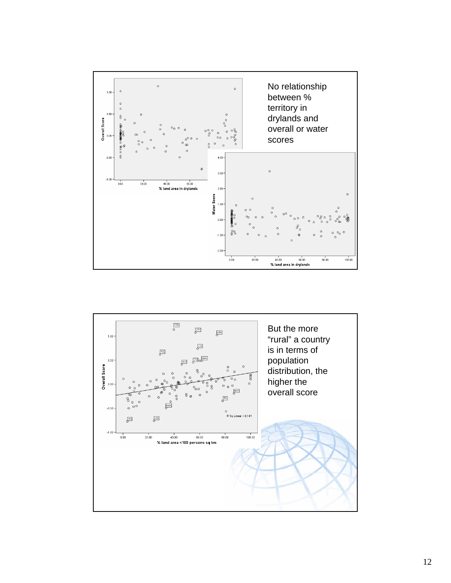

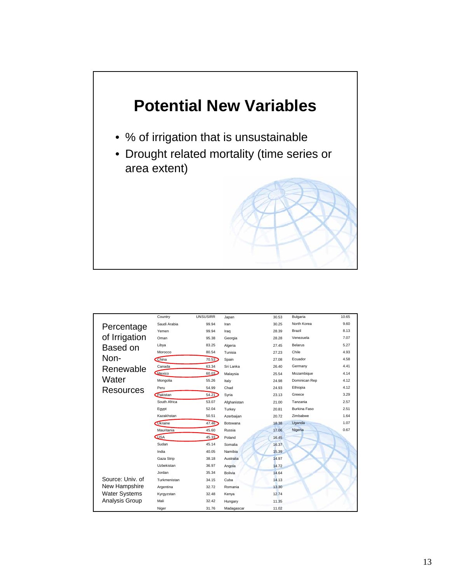

|                      | Country        | <b>UNSUSIRR</b> | Japan           | 30.53 | <b>Bulgaria</b>     | 10.65 |
|----------------------|----------------|-----------------|-----------------|-------|---------------------|-------|
| Percentage           | Saudi Arabia   | 99.94           | Iran            | 30.25 | North Korea         | 9.60  |
|                      | Yemen          | 99.94           | Iraq            | 28.39 | Brazil              | 8.13  |
| of Irrigation        | Oman           | 95.38           | Georgia         | 28.28 | Venezuela           | 7.07  |
| Based on             | Libya          | 83.25           | Algeria         | 27.45 | <b>Belarus</b>      | 5.27  |
|                      | Morocco        | 80.54           | Tunisia         | 27.23 | Chile               | 4.93  |
| Non-                 | China          | 70.53           | Spain           | 27.08 | Ecuador             | 4.58  |
| Renewable            | Canada         | 63.34           | Sri Lanka       | 26.40 | Germany             | 4.41  |
|                      | Mexico         | 60.03           | Malaysia        | 25.54 | Mozambique          | 4.14  |
| Water                | Mongolia       | 55.26           | Italy           | 24.98 | Dominican Rep       | 4.12  |
| Resources            | Peru           | 54.99           | Chad            | 24.93 | Ethiopia            | 4.12  |
|                      | Pakistan       | 54.21           | Syria           | 23.13 | Greece              | 3.29  |
|                      | South Africa   | 53.07           | Afghanistan     | 21.00 | Tanzania            | 2.57  |
|                      | Egypt          | 52.04           | Turkey          | 20.81 | <b>Burkina Faso</b> | 2.51  |
|                      | Kazakhstan     | 50.51           | Azerbaijan      | 20.72 | Zimbabwe            | 1.64  |
|                      | <b>Ukraine</b> | 47.46           | <b>Botswana</b> | 18.38 | Uganda              | 1.07  |
|                      | Mauritania     | 45.60           | Russia          | 17.06 | Nigeria             | 0.67  |
|                      | <b>LUSA</b>    | 45.33           | Poland          | 16.45 |                     |       |
|                      | Sudan          | 45.14           | Somalia         | 16.37 |                     |       |
|                      | India          | 40.05           | Namibia         | 15.39 |                     |       |
|                      | Gaza Strip     | 38.18           | Australia       | 14.97 |                     |       |
|                      | Uzbekistan     | 36.97           | Angola          | 14.72 |                     |       |
|                      | Jordan         | 35.34           | <b>Bolivia</b>  | 14.64 |                     |       |
| Source: Univ. of     | Turkmenistan   | 34.15           | Cuba            | 14.13 |                     |       |
| New Hampshire        | Argentina      | 32.72           | Romania         | 13.30 |                     |       |
| <b>Water Systems</b> | Kyrgyzstan     | 32.48           | Kenya           | 12.74 |                     |       |
| Analysis Group       | Mali           | 32.42           | Hungary         | 11.35 |                     |       |
|                      | Niger          | 31.76           | Madagascar      | 11.02 |                     |       |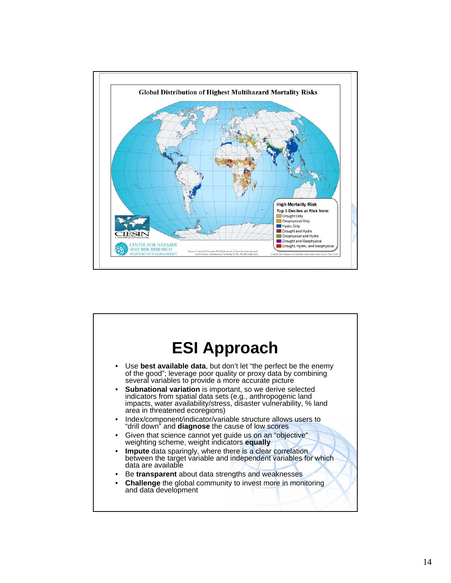